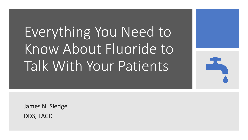# Everything You Need to Know About Fluoride to Talk With Your Patients



James N. Sledge DDS, FACD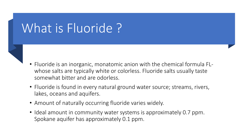### What is Fluoride?

- Fluoride is an inorganic, monatomic anion with the chemical formula FLwhose salts are typically white or colorless. Fluoride salts usually taste somewhat bitter and are odorless.
- Fluoride is found in every natural ground water source; streams, rivers, lakes, oceans and aquifers.
- Amount of naturally occurring fluoride varies widely.
- Ideal amount in community water systems is approximately 0.7 ppm. Spokane aquifer has approximately 0.1 ppm.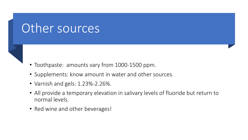### Other sources

- Toothpaste: amounts vary from 1000-1500 ppm.
- Supplements: know amount in water and other sources.
- Varnish and gels: 1.23%-2.26%.
- All provide a temporary elevation in salivary levels of fluoride but return to normal levels.
- Red wine and other beverages!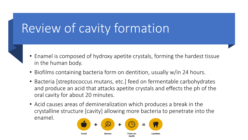## Review of cavity formation

- Enamel is composed of hydroxy apetite crystals, forming the hardest tissue in the human body.
- Biofilms containing bacteria form on dentition, usually w/in 24 hours.
- Bacteria [streptococcus mutans, etc.] feed on fermentable carbohydrates and produce an acid that attacks apetite crystals and effects the ph of the oral cavity for about 20 minutes.
- Acid causes areas of demineralization which produces a break in the crystalline structure [cavity] allowing more bacteria to penetrate into the enamel.

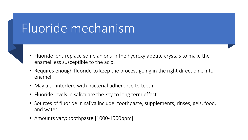### Fluoride mechanism

- 
- Fluoride ions replace some anions in the hydroxy apetite crystals to make the enamel less susceptible to the acid.
- Requires enough fluoride to keep the process going in the right direction… into enamel.
- May also interfere with bacterial adherence to teeth.
- Fluoride levels in saliva are the key to long term effect.
- Sources of fluoride in saliva include: toothpaste, supplements, rinses, gels, food, and water.
- Amounts vary: toothpaste [1000-1500ppm]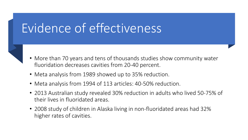## Evidence of effectiveness

- More than 70 years and tens of thousands studies show community water fluoridation decreases cavities from 20-40 percent.
- Meta analysis from 1989 showed up to 35% reduction.
- Meta analysis from 1994 of 113 articles: 40-50% reduction.
- 2013 Australian study revealed 30% reduction in adults who lived 50-75% of their lives in fluoridated areas.
- 2008 study of children in Alaska living in non-fluoridated areas had 32% higher rates of cavities.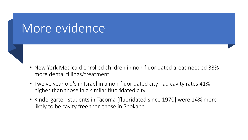#### More evidence

- New York Medicaid enrolled children in non-fluoridated areas needed 33% more dental fillings/treatment.
- Twelve year old's in Israel in a non-fluoridated city had cavity rates 41% higher than those in a similar fluoridated city.
- Kindergarten students in Tacoma [fluoridated since 1970] were 14% more likely to be cavity free than those in Spokane.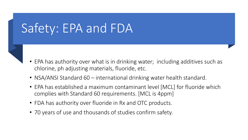### Safety: EPA and FDA

- EPA has authority over what is in drinking water; including additives such as chlorine, ph adjusting materials, fluoride, etc.
- NSA/ANSI Standard 60 international drinking water health standard.
- EPA has established a maximum contaminant level [MCL] for fluoride which complies with Standard 60 requirements. [MCL is 4ppm]
- FDA has authority over fluoride in Rx and OTC products.
- 70 years of use and thousands of studies confirm safety.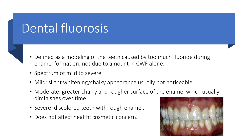### Dental fluorosis

- Defined as a modeling of the teeth caused by too much fluoride during enamel formation; not due to amount in CWF alone.
- Spectrum of mild to severe.
- Mild: slight whitening/chalky appearance usually not noticeable.
- Moderate: greater chalky and rougher surface of the enamel which usually diminishes over time.
- Severe: discolored teeth with rough enamel.
- Does not affect health; cosmetic concern.

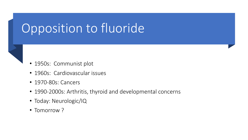## Opposition to fluoride

- 1950s: Communist plot
- 1960s: Cardiovascular issues
- 1970-80s: Cancers
- 1990-2000s: Arthritis, thyroid and developmental concerns
- Today: Neurologic/IQ
- Tomorrow ?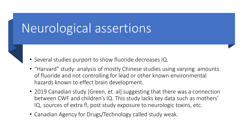#### Neurological assertions

- Several studies purport to show fluoride decreases IQ.
- "Harvard" study: analysis of mostly Chinese studies using varying amounts of fluoride and not controlling for lead or other known environmental hazards known to effect brain development.
- 2019 Canadian study [Green, et. al] suggesting that there was a connection between CWF and children's IQ. This study lacks key data such as mothers' IQ, sources of extra fl, post study exposure to neurologic toxins, etc.
- Canadian Agency for Drugs/Technology called study weak.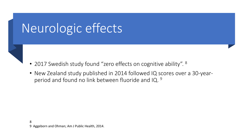### Neurologic effects

- 2017 Swedish study found "zero effects on cognitive ability". <sup>8</sup>
- New Zealand study published in 2014 followed IQ scores over a 30-yearperiod and found no link between fluoride and IQ. 9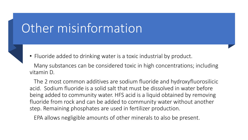### Other misinformation



• Fluoride added to drinking water is a toxic industrial by product.

Many substances can be considered toxic in high concentrations; including vitamin D.

The 2 most common additives are sodium fluoride and hydroxyfluorosilicic acid. Sodium fluoride is a solid salt that must be dissolved in water before being added to community water. HFS acid is a liquid obtained by removing fluoride from rock and can be added to community water without another step. Remaining phosphates are used in fertilizer production.

EPA allows negligible amounts of other minerals to also be present.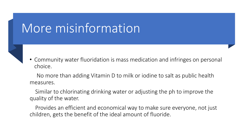### More misinformation

- 
- Community water fluoridation is mass medication and infringes on personal choice.

No more than adding Vitamin D to milk or iodine to salt as public health measures.

Similar to chlorinating drinking water or adjusting the ph to improve the quality of the water.

Provides an efficient and economical way to make sure everyone, not just children, gets the benefit of the ideal amount of fluoride.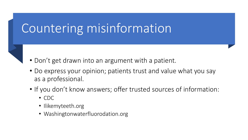### Countering misinformation

- Don't get drawn into an argument with a patient.
- Do express your opinion; patients trust and value what you say as a professional.
- If you don't know answers; offer trusted sources of information:
	- CDC
	- Ilikemyteeth.org
	- Washingtonwaterfluorodation.org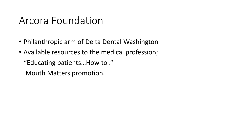#### Arcora Foundation

- Philanthropic arm of Delta Dental Washington
- Available resources to the medical profession;

"Educating patients…How to ."

Mouth Matters promotion.